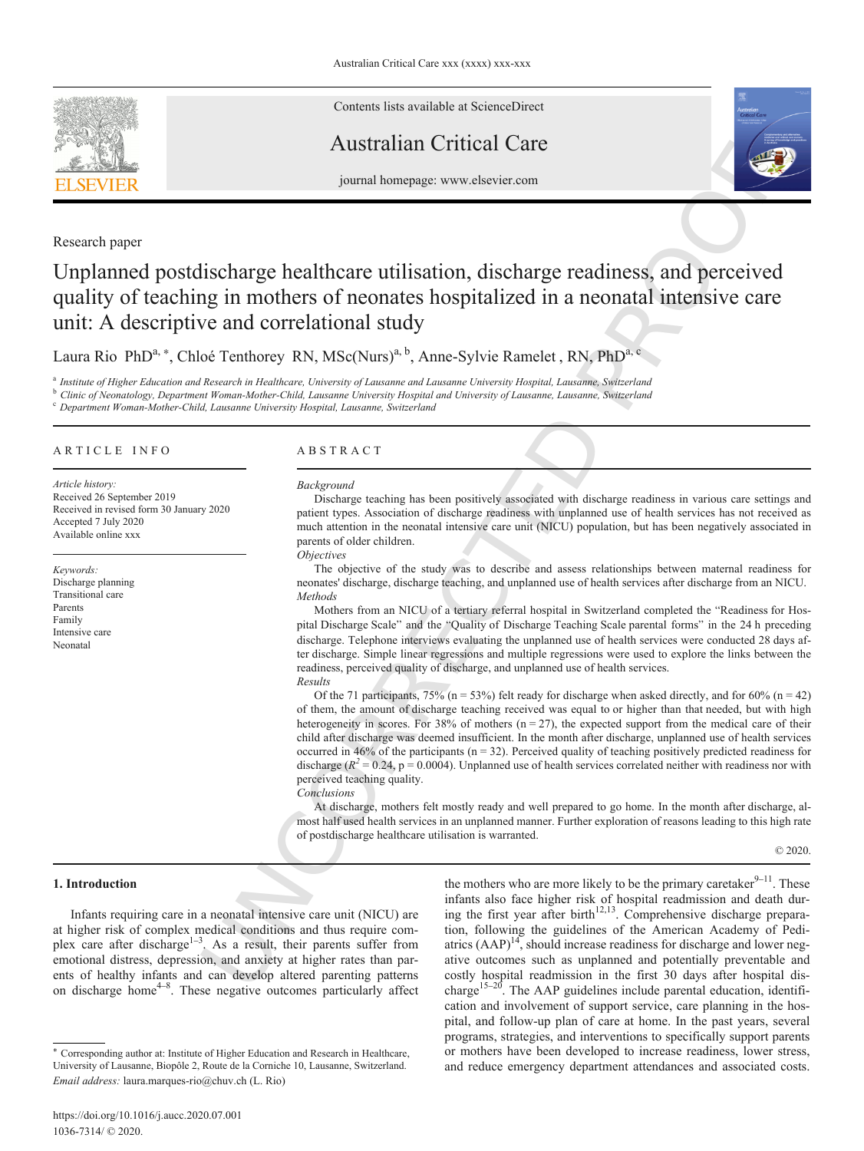

Contents lists available at ScienceDirect

# Australian Critical Care



journal homepage: www.elsevier.com

Research paper

# Unplanned postdischarge healthcare utilisation, discharge readiness, and perceived quality of teaching in mothers of neonates hospitalized in a neonatal intensive care unit: A descriptive and correlational study

Laura Rio PhD<sup>a, ∗</sup>, Chloé Tenthorey RN, MSc(Nurs)<sup>a, b</sup>, Anne-Sylvie Ramelet, RN, PhD<sup>a, c</sup>

<sup>a</sup> Institute of Higher Education and Research in Healthcare, University of Lausanne and Lausanne University Hospital, Lausanne, Switzerlana

<sup>b</sup> Clinic of Neonatology, Department Woman-Mother-Child, Lausanne University Hospital and University of Lausanne, Lausanne, Switzerland

<sup>c</sup> *Department Woman-Mother-Child, Lausanne University Hospital, Lausanne, Switzerland*

# ARTICLE INFO

*Article history:* Received 26 September 2019 Received in revised form 30 January 2020 Accepted 7 July 2020 Available online xxx

*Keywords:* Discharge planning Transitional care Parents Family Intensive care Neonatal

# ABSTRACT

### *Background*

Discharge teaching has been positively associated with discharge readiness in various care settings and patient types. Association of discharge readiness with unplanned use of health services has not received as much attention in the neonatal intensive care unit (NICU) population, but has been negatively associated in parents of older children.

*Objectives*

## The objective of the study was to describe and assess relationships between maternal readiness for neonates' discharge, discharge teaching, and unplanned use of health services after discharge from an NICU. *Methods*

Mothers from an NICU of a tertiary referral hospital in Switzerland completed the "Readiness for Hospital Discharge Scale" and the "Quality of Discharge Teaching Scale parental forms" in the 24 h preceding discharge. Telephone interviews evaluating the unplanned use of health services were conducted 28 days after discharge. Simple linear regressions and multiple regressions were used to explore the links between the readiness, perceived quality of discharge, and unplanned use of health services. *Results*

Ausstralian Critical Care<br>
jound homepse www.elevistroom<br>
isocharge readiness, and perceived<br>
isocharge healthcare utilisation, discharge readiness, and perceived<br>
used in model of Hendrich Software interactions and the e Of the 71 participants,  $75\%$  (n = 53%) felt ready for discharge when asked directly, and for 60% (n = 42) of them, the amount of discharge teaching received was equal to or higher than that needed, but with high heterogeneity in scores. For 38% of mothers ( $n = 27$ ), the expected support from the medical care of their child after discharge was deemed insufficient. In the month after discharge, unplanned use of health services occurred in 46% of the participants ( $n = 32$ ). Perceived quality of teaching positively predicted readiness for discharge ( $R^2 = 0.24$ ,  $p = 0.0004$ ). Unplanned use of health services correlated neither with readiness nor with perceived teaching quality.

*Conclusions*

At discharge, mothers felt mostly ready and well prepared to go home. In the month after discharge, almost half used health services in an unplanned manner. Further exploration of reasons leading to this high rate of postdischarge healthcare utilisation is warranted.

© 2020.

# **1. Introduction**

Infants requiring care in a neonatal intensive care unit (NICU) are at higher risk of complex medical conditions and thus require complex care after discharge<sup>1-3</sup>. As a result, their parents suffer from emotional distress, depression, and anxiety at higher rates than parents of healthy infants and can develop altered parenting patterns on discharge home<sup>4-8</sup>. These negative outcomes particularly affect

the mothers who are more likely to be the primary caretaker $9-11$ . These infants also face higher risk of hospital readmission and death during the first year after birth<sup>12,13</sup>. Comprehensive discharge preparation, following the guidelines of the American Academy of Pediatrics  $(AAP)^{14}$ , should increase readiness for discharge and lower negative outcomes such as unplanned and potentially preventable and costly hospital readmission in the first 30 days after hospital discharge<sup>15-20</sup>. The AAP guidelines include parental education, identification and involvement of support service, care planning in the hospital, and follow-up plan of care at home. In the past years, several programs, strategies, and interventions to specifically support parents or mothers have been developed to increase readiness, lower stress, and reduce emergency department attendances and associated costs.

**<sup>∗</sup>** Corresponding author at: Institute of Higher Education and Research in Healthcare, University of Lausanne, Biopôle 2, Route de la Corniche 10, Lausanne, Switzerland. *Email address:* laura.marques-rio@chuv.ch (L. Rio)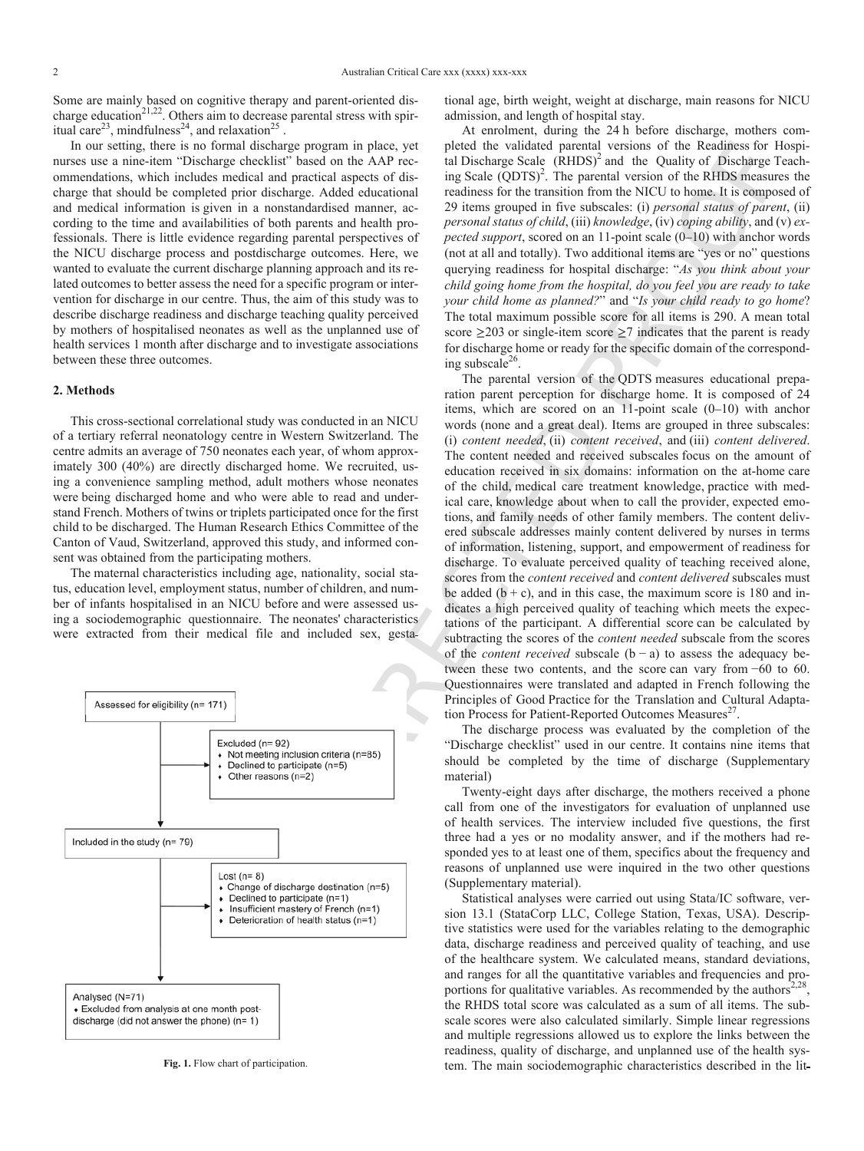Some are mainly based on cognitive therapy and parent-oriented discharge education<sup>21,22</sup>. Others aim to decrease parental stress with spiritual care<sup>23</sup>, mindfulness<sup>24</sup>, and relaxation<sup>25</sup>.

In our setting, there is no formal discharge program in place, yet nurses use a nine-item "Discharge checklist" based on the AAP recommendations, which includes medical and practical aspects of discharge that should be completed prior discharge. Added educational and medical information is given in a nonstandardised manner, according to the time and availabilities of both parents and health professionals. There is little evidence regarding parental perspectives of the NICU discharge process and postdischarge outcomes. Here, we wanted to evaluate the current discharge planning approach and its related outcomes to better assess the need for a specific program or intervention for discharge in our centre. Thus, the aim of this study was to describe discharge readiness and discharge teaching quality perceived by mothers of hospitalised neonates as well as the unplanned use of health services 1 month after discharge and to investigate associations between these three outcomes.

## **2. Methods**

This cross-sectional correlational study was conducted in an NICU of a tertiary referral neonatology centre in Western Switzerland. The centre admits an average of 750 neonates each year, of whom approximately 300 (40%) are directly discharged home. We recruited, using a convenience sampling method, adult mothers whose neonates were being discharged home and who were able to read and understand French. Mothers of twins or triplets participated once for the first child to be discharged. The Human Research Ethics Committee of the Canton of Vaud, Switzerland, approved this study, and informed consent was obtained from the participating mothers.

The maternal characteristics including age, nationality, social status, education level, employment status, number of children, and number of infants hospitalised in an NICU before and were assessed using a sociodemographic questionnaire. The neonates' characteristics were extracted from their medical file and included sex, gesta



**Fig. 1.** Flow chart of participation.

tional age, birth weight, weight at discharge, main reasons for NICU admission, and length of hospital stay.

At enrolment, during the 24 h before discharge, mothers completed the validated parental versions of the Readiness for Hospital Discharge Scale  $(RHDS)^2$  and the Quality of Discharge Teaching Scale (QDTS)<sup>2</sup>. The parental version of the RHDS measures the readiness for the transition from the NICU to home. It is composed of 29 items grouped in five subscales: (i) *personal status of parent*, (ii) *personal status of child*, (iii) *knowledge*, (iv) *coping ability*, and (v) *expected support*, scored on an 11-point scale (0–10) with anchor words (not at all and totally). Two additional items are "yes or no" questions querying readiness for hospital discharge: "*As you think about your child going home from the hospital, do you feel you are ready to take your child home as planned?*" and "*Is your child ready to go home*? The total maximum possible score for all items is 290. A mean total score  $\geq$ 203 or single-item score  $\geq$ 7 indicates that the parent is ready for discharge home or ready for the specific domain of the corresponding subscale<sup>26</sup>.

6 formal discharge poperain in pieces, yet piecel when when the validate particles when the constrained for the statistic statistic fields of the fields of the statistic fields of the statistic fields of the statistic fie The parental version of the QDTS measures educational preparation parent perception for discharge home. It is composed of 24 items, which are scored on an 11-point scale (0–10) with anchor words (none and a great deal). Items are grouped in three subscales: (i) *content needed*, (ii) *content received*, and (iii) *content delivered*. The content needed and received subscales focus on the amount of education received in six domains: information on the at-home care of the child, medical care treatment knowledge, practice with medical care, knowledge about when to call the provider, expected emotions, and family needs of other family members. The content delivered subscale addresses mainly content delivered by nurses in terms of information, listening, support, and empowerment of readiness for discharge. To evaluate perceived quality of teaching received alone, scores from the *content received* and *content delivered* subscales must be added  $(b + c)$ , and in this case, the maximum score is 180 and indicates a high perceived quality of teaching which meets the expectations of the participant. A differential score can be calculated by subtracting the scores of the *content needed* subscale from the scores of the *content received* subscale (b − a) to assess the adequacy between these two contents, and the score can vary from −60 to 60. Questionnaires were translated and adapted in French following the Principles of Good Practice for the Translation and Cultural Adaptation Process for Patient-Reported Outcomes Measures<sup>27</sup>.

The discharge process was evaluated by the completion of the "Discharge checklist" used in our centre. It contains nine items that should be completed by the time of discharge (Supplementary material)

Twenty-eight days after discharge, the mothers received a phone call from one of the investigators for evaluation of unplanned use of health services. The interview included five questions, the first three had a yes or no modality answer, and if the mothers had responded yes to at least one of them, specifics about the frequency and reasons of unplanned use were inquired in the two other questions (Supplementary material).

Statistical analyses were carried out using Stata/IC software, version 13.1 (StataCorp LLC, College Station, Texas, USA). Descriptive statistics were used for the variables relating to the demographic data, discharge readiness and perceived quality of teaching, and use of the healthcare system. We calculated means, standard deviations, and ranges for all the quantitative variables and frequencies and proportions for qualitative variables. As recommended by the authors<sup>2,28</sup>, the RHDS total score was calculated as a sum of all items. The subscale scores were also calculated similarly. Simple linear regressions and multiple regressions allowed us to explore the links between the readiness, quality of discharge, and unplanned use of the health system. The main sociodemographic characteristics described in the lit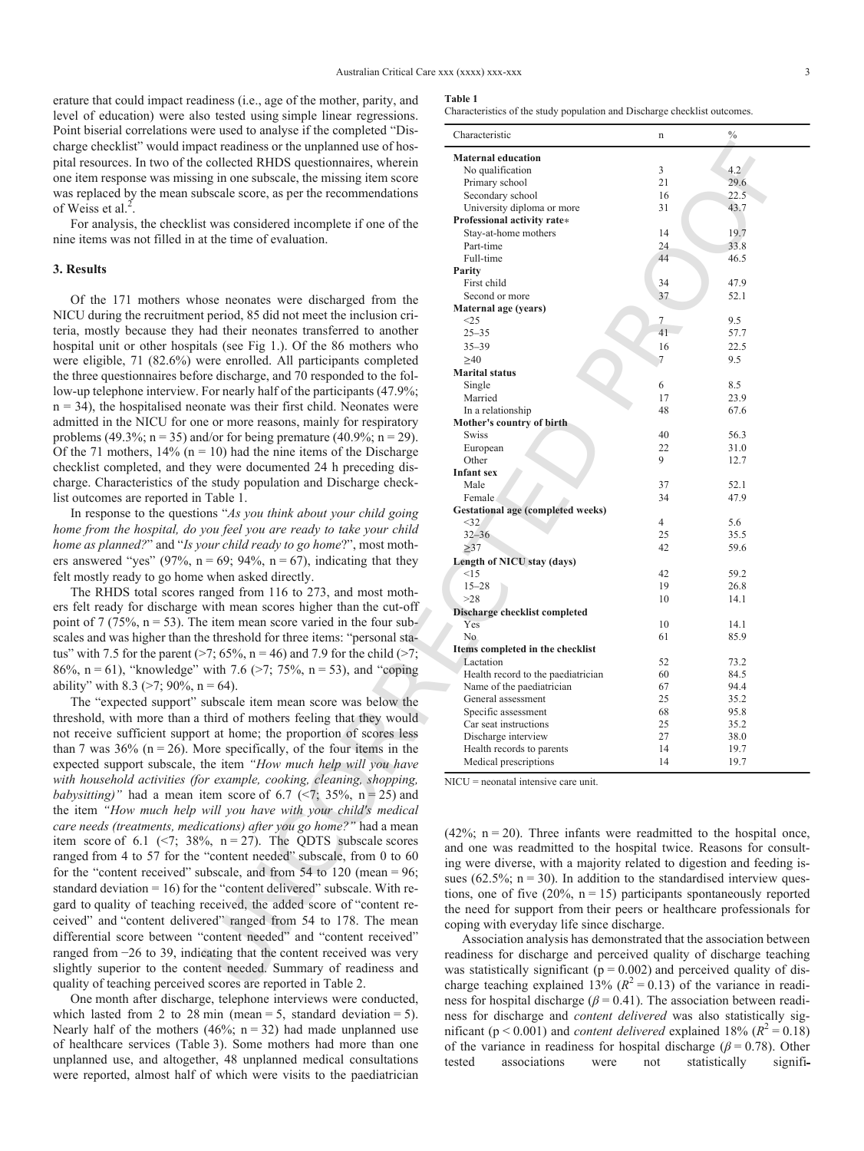erature that could impact readiness (i.e., age of the mother, parity, and level of education) were also tested using simple linear regressions. Point biserial correlations were used to analyse if the completed "Discharge checklist" would impact readiness or the unplanned use of hospital resources. In two of the collected RHDS questionnaires, wherein one item response was missing in one subscale, the missing item score was replaced by the mean subscale score, as per the recommendations of Weiss et al.<sup>2</sup> .

For analysis, the checklist was considered incomplete if one of the nine items was not filled in at the time of evaluation.

## **3. Results**

Of the 171 mothers whose neonates were discharged from the NICU during the recruitment period, 85 did not meet the inclusion criteria, mostly because they had their neonates transferred to another hospital unit or other hospitals (see Fig 1.). Of the 86 mothers who were eligible, 71 (82.6%) were enrolled. All participants completed the three questionnaires before discharge, and 70 responded to the follow-up telephone interview. For nearly half of the participants (47.9%;  $n = 34$ ), the hospitalised neonate was their first child. Neonates were admitted in the NICU for one or more reasons, mainly for respiratory problems (49.3%;  $n = 35$ ) and/or for being premature (40.9%;  $n = 29$ ). Of the 71 mothers,  $14\%$  (n = 10) had the nine items of the Discharge checklist completed, and they were documented 24 h preceding discharge. Characteristics of the study population and Discharge checklist outcomes are reported in Table 1.

In response to the questions "*As you think about your child going home from the hospital, do you feel you are ready to take your child home as planned?*" and "*Is your child ready to go home*?", most mothers answered "yes" (97%,  $n = 69$ ; 94%,  $n = 67$ ), indicating that they felt mostly ready to go home when asked directly.

The RHDS total scores ranged from 116 to 273, and most mothers felt ready for discharge with mean scores higher than the cut-off point of 7 (75%,  $n = 53$ ). The item mean score varied in the four subscales and was higher than the threshold for three items: "personal status" with 7.5 for the parent (>7; 65%, n = 46) and 7.9 for the child (>7; 86%,  $n = 61$ ), "knowledge" with 7.6 (>7; 75%,  $n = 53$ ), and "coping ability" with 8.3 ( $>7$ ; 90%, n = 64).

The "expected support" subscale item mean score was below the threshold, with more than a third of mothers feeling that they would not receive sufficient support at home; the proportion of scores less than 7 was  $36\%$  (n = 26). More specifically, of the four items in the expected support subscale, the item *"How much help will you have with household activities (for example, cooking, cleaning, shopping, babysitting*)" had a mean item score of 6.7 ( $\lt$ 7; 35%, n = 25) and the item *"How much help will you have with your child's medical care needs (treatments, medications) after you go home?"* had a mean item score of 6.1 (<7; 38%,  $n = 27$ ). The QDTS subscale scores ranged from 4 to 57 for the "content needed" subscale, from 0 to 60 for the "content received" subscale, and from 54 to 120 (mean =  $96$ ; standard deviation  $= 16$ ) for the "content delivered" subscale. With regard to quality of teaching received, the added score of "content received" and "content delivered" ranged from 54 to 178. The mean differential score between "content needed" and "content received" ranged from −26 to 39, indicating that the content received was very slightly superior to the content needed. Summary of readiness and quality of teaching perceived scores are reported in Table 2.

One month after discharge, telephone interviews were conducted, which lasted from 2 to 28 min (mean  $=$  5, standard deviation  $=$  5). Nearly half of the mothers (46%;  $n = 32$ ) had made unplanned use of healthcare services (Table 3). Some mothers had more than one unplanned use, and altogether, 48 unplanned medical consultations were reported, almost half of which were visits to the paediatrician

#### **Table 1**

Characteristics of the study population and Discharge checklist outcomes.

| ere used to analyse if the completed "Dis-         | Characteristic                                                              | $\mathbf n$  | $\%$         |  |
|----------------------------------------------------|-----------------------------------------------------------------------------|--------------|--------------|--|
| act readiness or the unplanned use of hos-         |                                                                             |              |              |  |
| collected RHDS questionnaires, wherein             | <b>Maternal education</b><br>No qualification                               | 3            | 4.2          |  |
| ng in one subscale, the missing item score         | Primary school                                                              | 21           | 29.6         |  |
| abscale score, as per the recommendations          | Secondary school                                                            | 16           | 22.5         |  |
|                                                    | University diploma or more                                                  | 31           | 43.7         |  |
| st was considered incomplete if one of the         | Professional activity rate*                                                 |              |              |  |
| at the time of evaluation.                         | Stay-at-home mothers                                                        | 14           | 19.7         |  |
|                                                    | Part-time<br>Full-time                                                      | 24<br>44     | 33.8<br>46.5 |  |
|                                                    | Parity                                                                      |              |              |  |
|                                                    | First child                                                                 | 34           | 47.9         |  |
| lose neonates were discharged from the             | Second or more                                                              | 37           | 52.1         |  |
| t period, 85 did not meet the inclusion cri-       | Maternal age (years)                                                        |              |              |  |
| had their neonates transferred to another          | $\leq$ 25<br>$25 - 35$                                                      | $\tau$<br>41 | 9.5<br>57.7  |  |
| tals (see Fig 1.). Of the 86 mothers who           | $35 - 39$                                                                   | 16           | 22.5         |  |
| vere enrolled. All participants completed          | $\geq 40$                                                                   | 7            | 9.5          |  |
| ore discharge, and 70 responded to the fol-        | <b>Marital status</b>                                                       |              |              |  |
| For nearly half of the participants (47.9%;        | Single                                                                      | 6            | 8.5          |  |
| onate was their first child. Neonates were         | Married                                                                     | 17           | 23.9         |  |
| the or more reasons, mainly for respiratory        | In a relationship                                                           | 48           | 67.6         |  |
|                                                    | Mother's country of birth<br>Swiss                                          | 40           | 56.3         |  |
| d/or for being premature $(40.9\%; n = 29)$ .      | European                                                                    | 22           | 31.0         |  |
| = 10) had the nine items of the Discharge          | Other                                                                       | 9            | 12.7         |  |
| ey were documented 24 h preceding dis-             | <b>Infant sex</b>                                                           |              |              |  |
| e study population and Discharge check-            | Male                                                                        | 37           | 52.1         |  |
| Table 1.                                           | Female<br><b>Gestational age (completed weeks)</b>                          | 34           | 47.9         |  |
| ons "As you think about your child going           | $\leq$ 32                                                                   | 4            | 5.6          |  |
| you feel you are ready to take your child          | $32 - 36$                                                                   | 25           | 35.5         |  |
| our child ready to go home?", most moth-           | $\geq$ 37                                                                   | 42           | 59.6         |  |
| $n = 69$ ; 94%, $n = 67$ ), indicating that they   | Length of NICU stay (days)                                                  |              |              |  |
| e when asked directly.                             | <15                                                                         | 42           | 59.2         |  |
| ranged from 116 to 273, and most moth-             | $15 - 28$<br>>28                                                            | 19<br>10     | 26.8<br>14.1 |  |
| with mean scores higher than the cut-off           | Discharge checklist completed                                               |              |              |  |
| e item mean score varied in the four sub-          | Yes                                                                         | 10           | 14.1         |  |
| he threshold for three items: "personal sta-       | No.                                                                         | 61           | 85.9         |  |
| $>7$ ; 65%, n = 46) and 7.9 for the child ( $>7$ ; | Items completed in the checklist                                            |              |              |  |
| with 7.6 ( $>7$ ; 75%, n = 53), and "coping        | Lactation                                                                   | 52           | 73.2         |  |
| $n = 64$ ).                                        | Health record to the paediatrician<br>Name of the paediatrician             | 60<br>67     | 84.5<br>94.4 |  |
| subscale item mean score was below the             | General assessment                                                          | 25           | 35.2         |  |
| third of mothers feeling that they would           | Specific assessment                                                         | 68           | 95.8         |  |
| rt at home; the proportion of scores less          | Car seat instructions                                                       | 25           | 35.2         |  |
| fore specifically, of the four items in the        | Discharge interview<br>Health records to parents                            | 27<br>14     | 38.0<br>19.7 |  |
| the item "How much help will you have              | Medical prescriptions                                                       | 14           | 19.7         |  |
|                                                    |                                                                             |              |              |  |
| or example, cooking, cleaning, shopping,           | $NICU$ = neonatal intensive care unit.                                      |              |              |  |
| item score of 6.7 (<7; 35%, $n = 25$ ) and         |                                                                             |              |              |  |
| will you have with your child's medical            |                                                                             |              |              |  |
| ications) after you go home?" had a mean           | $(42\%; n = 20)$ . Three infants were readmitted to the hospital once,      |              |              |  |
| $\frac{1}{2}$ , n = 27). The QDTS subscale scores  | and one was readmitted to the hospital twice. Reasons for consult-          |              |              |  |
| "content needed" subscale, from 0 to 60            | ing were diverse, with a majority related to digestion and feeding is-      |              |              |  |
| ubscale, and from 54 to 120 (mean = 96;            | sues (62.5%; $n = 30$ ). In addition to the standardised interview ques-    |              |              |  |
| the "content delivered" subscale. With re-         | tions, one of five $(20\%, n = 15)$ participants spontaneously reported     |              |              |  |
| received, the added score of "content re-          | the need for support from their peers or healthcare professionals for       |              |              |  |
| ered" ranged from 54 to 178. The mean              | coping with everyday life since discharge.                                  |              |              |  |
| 'content needed" and "content received"            | Association analysis has demonstrated that the association between          |              |              |  |
| cating that the content received was very          | readiness for discharge and perceived quality of discharge teaching         |              |              |  |
| tent needed. Summary of readiness and              | was statistically significant ( $p = 0.002$ ) and perceived quality of dis- |              |              |  |
| d scores are reported in Table 2.                  | charge teaching explained 13% ( $R^2 = 0.13$ ) of the variance in readi-    |              |              |  |

Association analysis has demonstrated that the association between readiness for discharge and perceived quality of discharge teaching was statistically significant ( $p = 0.002$ ) and perceived quality of discharge teaching explained 13% ( $R^2 = 0.13$ ) of the variance in readiness for hospital discharge ( $\beta$  = 0.41). The association between readiness for discharge and *content delivered* was also statistically significant ( $p < 0.001$ ) and *content delivered* explained 18% ( $R^2 = 0.18$ ) of the variance in readiness for hospital discharge ( $\beta$  = 0.78). Other tested associations were not statistically signifi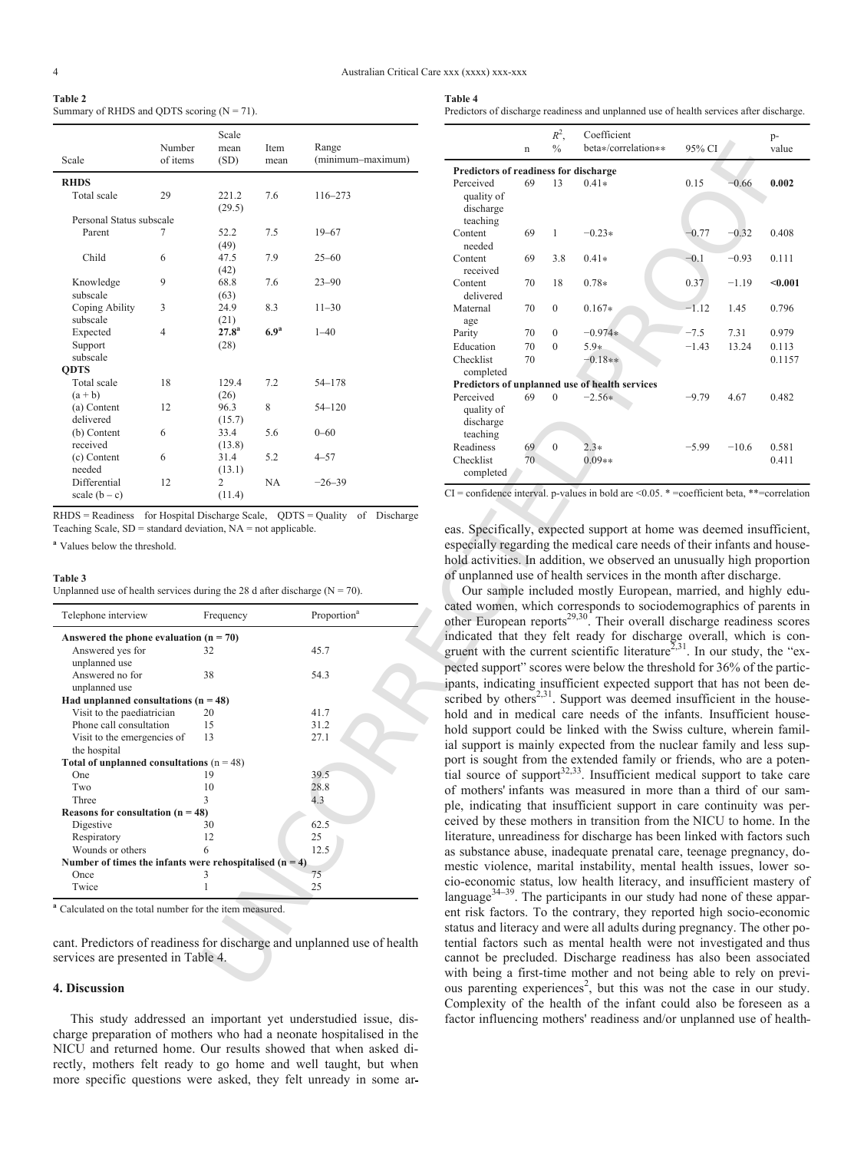| Australian Critical Care xxx (xxxx) xxx-xxx |  |
|---------------------------------------------|--|
|---------------------------------------------|--|

| <b>Table 2</b>                                |  |
|-----------------------------------------------|--|
| Summary of RHDS and QDTS scoring $(N = 71)$ . |  |

| Scale                           | Number<br>of items | Scale<br>mean<br>(SD)  | Item<br>mean     | Range<br>(minimum-maximum) |
|---------------------------------|--------------------|------------------------|------------------|----------------------------|
| <b>RHDS</b>                     |                    |                        |                  |                            |
| Total scale                     | 29                 | 221.2<br>(29.5)        | 7.6              | 116-273                    |
| Personal Status subscale        |                    |                        |                  |                            |
| Parent                          | 7                  | 52.2<br>(49)           | 7.5              | $19 - 67$                  |
| Child                           | 6                  | 47.5<br>(42)           | 7.9              | $25 - 60$                  |
| Knowledge<br>subscale           | 9                  | 68.8<br>(63)           | 7.6              | $23 - 90$                  |
| Coping Ability<br>subscale      | 3                  | 24.9<br>(21)           | 8.3              | $11 - 30$                  |
| Expected<br>Support<br>subscale | $\overline{4}$     | $27.8^{\rm a}$<br>(28) | 6.9 <sup>a</sup> | $1 - 40$                   |
| <b>QDTS</b>                     |                    |                        |                  |                            |
| Total scale<br>$(a + b)$        | 18                 | 129.4<br>(26)          | 7.2              | $54 - 178$                 |
| (a) Content<br>delivered        | 12                 | 96.3<br>(15.7)         | 8                | $54 - 120$                 |
| (b) Content<br>received         | 6                  | 33.4<br>(13.8)         | 5.6              | $0 - 60$                   |
| (c) Content<br>needed           | 6                  | 31.4<br>(13.1)         | 5.2              | $4 - 57$                   |
| Differential<br>scale $(b - c)$ | 12                 | 2<br>(11.4)            | NA               | $-26-39$                   |

RHDS = Readiness for Hospital Discharge Scale, QDTS = Quality of Discharge Teaching Scale, SD = standard deviation, NA = not applicable.

**<sup>a</sup>** Values below the threshold.

**Table 3**

Unplanned use of health services during the 28 d after discharge ( $N = 70$ ).

| Telephone interview                                         | Frequency | Proportion <sup>a</sup> |  |  |  |
|-------------------------------------------------------------|-----------|-------------------------|--|--|--|
| Answered the phone evaluation $(n = 70)$                    |           |                         |  |  |  |
| Answered yes for                                            | 32        | 45.7                    |  |  |  |
| unplanned use                                               |           |                         |  |  |  |
| Answered no for                                             | 38        | 54.3                    |  |  |  |
| unplanned use                                               |           |                         |  |  |  |
| Had unplanned consultations $(n = 48)$                      |           |                         |  |  |  |
| Visit to the paediatrician                                  | 20        | 41.7                    |  |  |  |
| Phone call consultation                                     | 15        | 31.2                    |  |  |  |
| Visit to the emergencies of                                 | 13        | 27.1                    |  |  |  |
| the hospital                                                |           |                         |  |  |  |
| Total of unplanned consultations $(n = 48)$                 |           |                         |  |  |  |
| One                                                         | 19        | 39.5                    |  |  |  |
| Two                                                         | 10        | 28.8                    |  |  |  |
| Three                                                       | 3         | 4.3                     |  |  |  |
| Reasons for consultation $(n = 48)$                         |           |                         |  |  |  |
| Digestive                                                   | 30        | 62.5                    |  |  |  |
| Respiratory                                                 | 12        | 25                      |  |  |  |
| Wounds or others                                            | 6         | 12.5                    |  |  |  |
| Number of times the infants were rehospitalised ( $n = 4$ ) |           |                         |  |  |  |
| Once                                                        | 3         | 75                      |  |  |  |
| Twice                                                       |           | 25                      |  |  |  |
|                                                             |           |                         |  |  |  |

**<sup>a</sup>** Calculated on the total number for the item measured.

cant. Predictors of readiness for discharge and unplanned use of health services are presented in Table 4.

## **4. Discussion**

This study addressed an important yet understudied issue, discharge preparation of mothers who had a neonate hospitalised in the NICU and returned home. Our results showed that when asked directly, mothers felt ready to go home and well taught, but when more specific questions were asked, they felt unready in some ar

| ۰.<br>$\sim$<br>۰,<br>۰,<br>×<br>i |  |
|------------------------------------|--|
|------------------------------------|--|

Predictors of discharge readiness and unplanned use of health services after discharge.

|                                                  | n  | $R^2$ ,<br>$\frac{0}{0}$ | Coefficient<br>beta*/correlation** | 95% CI  |         | p-<br>value |
|--------------------------------------------------|----|--------------------------|------------------------------------|---------|---------|-------------|
| Predictors of readiness for discharge            |    |                          |                                    |         |         |             |
| Perceived<br>quality of<br>discharge<br>teaching | 69 | 13                       | $0.41*$                            | 0.15    | $-0.66$ | 0.002       |
| Content<br>needed                                | 69 | 1                        | $-0.23*$                           | $-0.77$ | $-0.32$ | 0.408       |
| Content<br>received                              | 69 | 3.8                      | $0.41*$                            | $-0.1$  | $-0.93$ | 0.111       |
| Content<br>delivered                             | 70 | 18                       | $0.78*$                            | 0.37    | $-1.19$ | < 0.001     |
| Maternal<br>age                                  | 70 | $\Omega$                 | $0.167*$                           | $-1.12$ | 1.45    | 0.796       |
| Parity                                           | 70 | $\Omega$                 | $-0.974*$                          | $-7.5$  | 7.31    | 0.979       |
| Education                                        | 70 | $\Omega$                 | $5.9*$                             | $-1.43$ | 13.24   | 0.113       |
| Checklist<br>completed                           | 70 |                          | $-0.18**$                          |         |         | 0.1157      |
| Predictors of unplanned use of health services   |    |                          |                                    |         |         |             |
| Perceived<br>quality of<br>discharge<br>teaching | 69 | $\theta$                 | $-2.56*$                           | $-9.79$ | 4.67    | 0.482       |
| Readiness                                        | 69 | $\theta$                 | $2.3*$                             | $-5.99$ | $-10.6$ | 0.581       |
| Checklist<br>completed                           | 70 |                          | $0.09**$                           |         |         | 0.411       |

 $CI = confidence$  interval. p-values in bold are <0.05. \* = coefficient beta, \*\*= correlation

eas. Specifically, expected support at home was deemed insufficient, especially regarding the medical care needs of their infants and household activities. In addition, we observed an unusually high proportion of unplanned use of health services in the month after discharge.

(S) no. 1 Eage 1 (ii) 1 Eage 1 (ii) 1 Eage 1 (ii) 1 Eage 1 (iii) 2003<br>
(S) no. 1 Eage 1 (iii) 2004 and 2003 (iii) 2004 and 2003 (iii) 2004 and 2003 (iii) 2004 and 2003 (iii) 2004 and 2003 (iii) 2004 and 2003 (iii) 2004 Our sample included mostly European, married, and highly educated women, which corresponds to sociodemographics of parents in other European reports<sup>29,30</sup>. Their overall discharge readiness scores indicated that they felt ready for discharge overall, which is congruent with the current scientific literature<sup>2,31</sup>. In our study, the "expected support" scores were below the threshold for 36% of the participants, indicating insufficient expected support that has not been described by others<sup>2,31</sup>. Support was deemed insufficient in the household and in medical care needs of the infants. Insufficient household support could be linked with the Swiss culture, wherein familial support is mainly expected from the nuclear family and less support is sought from the extended family or friends, who are a potential source of support $32,33$ . Insufficient medical support to take care of mothers' infants was measured in more than a third of our sample, indicating that insufficient support in care continuity was perceived by these mothers in transition from the NICU to home. In the literature, unreadiness for discharge has been linked with factors such as substance abuse, inadequate prenatal care, teenage pregnancy, domestic violence, marital instability, mental health issues, lower socio-economic status, low health literacy, and insufficient mastery of language $34-39$ . The participants in our study had none of these apparent risk factors. To the contrary, they reported high socio-economic status and literacy and were all adults during pregnancy. The other potential factors such as mental health were not investigated and thus cannot be precluded. Discharge readiness has also been associated with being a first-time mother and not being able to rely on previous parenting experiences<sup>2</sup>, but this was not the case in our study. Complexity of the health of the infant could also be foreseen as a factor influencing mothers' readiness and/or unplanned use of health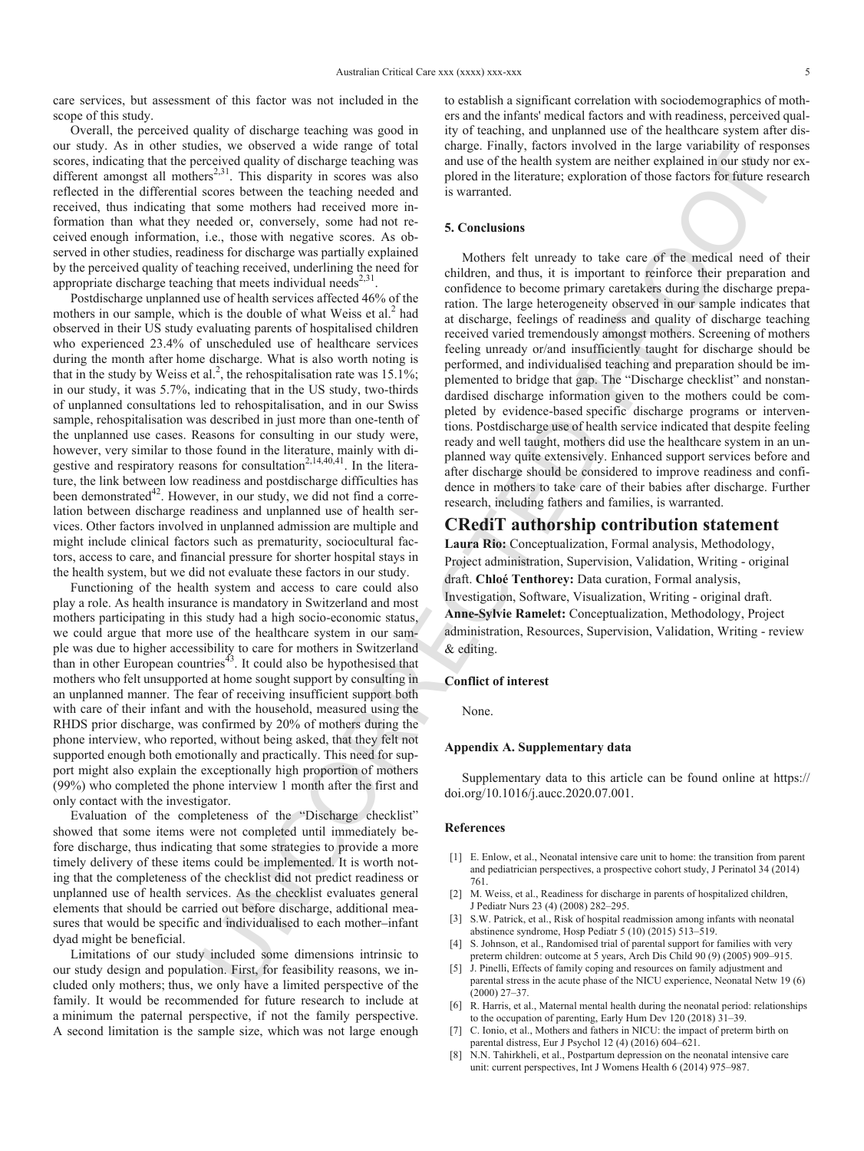care services, but assessment of this factor was not included in the scope of this study.

# Overall, the perceived quality of discharge teaching was good in our study. As in other studies, we observed a wide range of total scores, indicating that the perceived quality of discharge teaching was different amongst all mothers<sup>2,31</sup>. This disparity in scores was also reflected in the differential scores between the teaching needed and received, thus indicating that some mothers had received more information than what they needed or, conversely, some had not received enough information, i.e., those with negative scores. As observed in other studies, readiness for discharge was partially explained by the perceived quality of teaching received, underlining the need for appropriate discharge teaching that meets individual needs<sup>2,31</sup>.

Postdischarge unplanned use of health services affected 46% of the mothers in our sample, which is the double of what Weiss et al. $<sup>2</sup>$  had</sup> observed in their US study evaluating parents of hospitalised children who experienced 23.4% of unscheduled use of healthcare services during the month after home discharge. What is also worth noting is that in the study by Weiss et al.<sup>2</sup>, the rehospitalisation rate was 15.1%; in our study, it was 5.7%, indicating that in the US study, two-thirds of unplanned consultations led to rehospitalisation, and in our Swiss sample, rehospitalisation was described in just more than one-tenth of the unplanned use cases. Reasons for consulting in our study were, however, very similar to those found in the literature, mainly with digestive and respiratory reasons for consultation<sup>2,14,40,41</sup>. In the literature, the link between low readiness and postdischarge difficulties has been demonstrated<sup>42</sup>. However, in our study, we did not find a correlation between discharge readiness and unplanned use of health services. Other factors involved in unplanned admission are multiple and might include clinical factors such as prematurity, sociocultural factors, access to care, and financial pressure for shorter hospital stays in the health system, but we did not evaluate these factors in our study.

Functioning of the health system and access to care could also play a role. As health insurance is mandatory in Switzerland and most mothers participating in this study had a high socio-economic status, we could argue that more use of the healthcare system in our sample was due to higher accessibility to care for mothers in Switzerland than in other European countries $^{43}$ . It could also be hypothesised that mothers who felt unsupported at home sought support by consulting in an unplanned manner. The fear of receiving insufficient support both with care of their infant and with the household, measured using the RHDS prior discharge, was confirmed by 20% of mothers during the phone interview, who reported, without being asked, that they felt not supported enough both emotionally and practically. This need for support might also explain the exceptionally high proportion of mothers (99%) who completed the phone interview 1 month after the first and only contact with the investigator.

Evaluation of the completeness of the "Discharge checklist" showed that some items were not completed until immediately before discharge, thus indicating that some strategies to provide a more timely delivery of these items could be implemented. It is worth noting that the completeness of the checklist did not predict readiness or unplanned use of health services. As the checklist evaluates general elements that should be carried out before discharge, additional measures that would be specific and individualised to each mother–infant dyad might be beneficial.

Limitations of our study included some dimensions intrinsic to our study design and population. First, for feasibility reasons, we included only mothers; thus, we only have a limited perspective of the family. It would be recommended for future research to include at a minimum the paternal perspective, if not the family perspective. A second limitation is the sample size, which was not large enough

to establish a significant correlation with sociodemographics of mothers and the infants' medical factors and with readiness, perceived quality of teaching, and unplanned use of the healthcare system after discharge. Finally, factors involved in the large variability of responses and use of the health system are neither explained in our study nor explored in the literature; exploration of those factors for future research is warranted.

# **5. Conclusions**

He, we observed a viole maps of four labels in the late the late of the state of the control in the state of the state of the state of the state of the state of the state of the state of the state of the state of the stat Mothers felt unready to take care of the medical need of their children, and thus, it is important to reinforce their preparation and confidence to become primary caretakers during the discharge preparation. The large heterogeneity observed in our sample indicates that at discharge, feelings of readiness and quality of discharge teaching received varied tremendously amongst mothers. Screening of mothers feeling unready or/and insufficiently taught for discharge should be performed, and individualised teaching and preparation should be implemented to bridge that gap. The "Discharge checklist" and nonstandardised discharge information given to the mothers could be completed by evidence-based specific discharge programs or interventions. Postdischarge use of health service indicated that despite feeling ready and well taught, mothers did use the healthcare system in an unplanned way quite extensively. Enhanced support services before and after discharge should be considered to improve readiness and confidence in mothers to take care of their babies after discharge. Further research, including fathers and families, is warranted.

# **CRediT authorship contribution statement**

**Laura Rio:** Conceptualization, Formal analysis, Methodology, Project administration, Supervision, Validation, Writing - original draft. **Chloé Tenthorey:** Data curation, Formal analysis, Investigation, Software, Visualization, Writing - original draft. **Anne-Sylvie Ramelet:** Conceptualization, Methodology, Project administration, Resources, Supervision, Validation, Writing - review & editing.

### **Conflict of interest**

None.

## **Appendix A. Supplementary data**

Supplementary data to this article can be found online at https:// doi.org/10.1016/j.aucc.2020.07.001.

## **References**

- [1] E. Enlow, et al., Neonatal intensive care unit to home: the transition from parent and pediatrician perspectives, a prospective cohort study, J Perinatol 34 (2014) 761.
- [2] M. Weiss, et al., Readiness for discharge in parents of hospitalized children, J Pediatr Nurs 23 (4) (2008) 282–295.
- [3] S.W. Patrick, et al., Risk of hospital readmission among infants with neonatal abstinence syndrome, Hosp Pediatr 5 (10) (2015) 513–519.
- S. Johnson, et al., Randomised trial of parental support for families with very preterm children: outcome at 5 years, Arch Dis Child 90 (9) (2005) 909–915.
- [5]  $\hat{J}$ . Pinelli, Effects of family coping and resources on family adjustment and parental stress in the acute phase of the NICU experience, Neonatal Netw 19 (6) (2000) 27–37.
- [6] R. Harris, et al., Maternal mental health during the neonatal period: relationships to the occupation of parenting, Early Hum Dev 120 (2018) 31–39.
- [7] C. Ionio, et al., Mothers and fathers in NICU: the impact of preterm birth on parental distress, Eur J Psychol 12 (4) (2016) 604–621.
- N.N. Tahirkheli, et al., Postpartum depression on the neonatal intensive care unit: current perspectives, Int J Womens Health 6 (2014) 975–987.